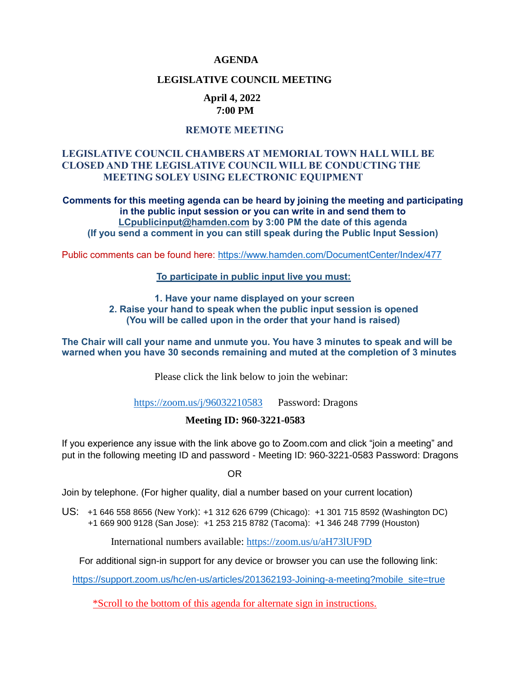#### **AGENDA**

#### **LEGISLATIVE COUNCIL MEETING**

#### **April 4, 2022 7:00 PM**

### **REMOTE MEETING**

### **LEGISLATIVE COUNCIL CHAMBERS AT MEMORIAL TOWN HALL WILL BE CLOSED AND THE LEGISLATIVE COUNCIL WILL BE CONDUCTING THE MEETING SOLEY USING ELECTRONIC EQUIPMENT**

**Comments for this meeting agenda can be heard by joining the meeting and participating in the public input session or you can write in and send them to [LCpublicinput@hamden.com](mailto:LCpublicinput@hamden.com) by 3:00 PM the date of this agenda (If you send a comment in you can still speak during the Public Input Session)**

Public comments can be found here:<https://www.hamden.com/DocumentCenter/Index/477>

#### **To participate in public input live you must:**

**1. Have your name displayed on your screen 2. Raise your hand to speak when the public input session is opened (You will be called upon in the order that your hand is raised)** 

**The Chair will call your name and unmute you. You have 3 minutes to speak and will be warned when you have 30 seconds remaining and muted at the completion of 3 minutes**

Please click the link below to join the webinar:

<https://zoom.us/j/96032210583>Password: Dragons

#### **Meeting ID: 960-3221-0583**

If you experience any issue with the link above go to Zoom.com and click "join a meeting" and put in the following meeting ID and password - Meeting ID: 960-3221-0583 Password: Dragons

OR

Join by telephone. (For higher quality, dial a number based on your current location)

US: [+1 646 558 8656 \(New York\)](tel:+16465588656): [+1 312 626 6799 \(Chicago\):](tel:+13126266799) [+1 301 715 8592 \(Washington DC\)](tel:+13017158592) +1 669 900 9128 (San Jose): [+1 253 215 8782 \(Tacoma\):](tel:+12532158782) [+1 346 248 7799 \(Houston\)](tel:+13462487799)

International numbers available:<https://zoom.us/u/aH73lUF9D>

For additional sign-in support for any device or browser you can use the following link:

[https://support.zoom.us/hc/en-us/articles/201362193-Joining-a-meeting?mobile\\_site=true](https://support.zoom.us/hc/en-us/articles/201362193-Joining-a-meeting?mobile_site=true)

\*Scroll to the bottom of this agenda for alternate sign in instructions.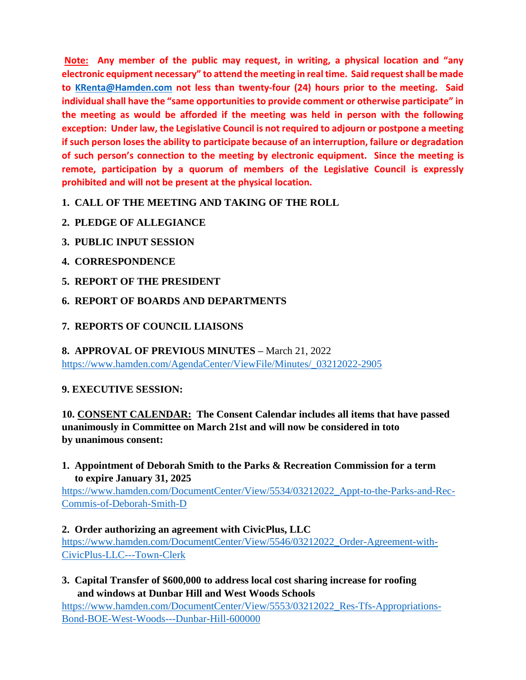**Note: Any member of the public may request, in writing, a physical location and "any electronic equipment necessary" to attend the meeting in real time. Said request shall be made to [KRenta@Hamden.com](mailto:KRenta@Hamden.com) not less than twenty-four (24) hours prior to the meeting. Said individual shall have the "same opportunities to provide comment or otherwise participate" in the meeting as would be afforded if the meeting was held in person with the following exception: Under law, the Legislative Council is not required to adjourn or postpone a meeting if such person loses the ability to participate because of an interruption, failure or degradation of such person's connection to the meeting by electronic equipment. Since the meeting is remote, participation by a quorum of members of the Legislative Council is expressly prohibited and will not be present at the physical location.**

**1. CALL OF THE MEETING AND TAKING OF THE ROLL**

- **2. PLEDGE OF ALLEGIANCE**
- **3. PUBLIC INPUT SESSION**
- **4. CORRESPONDENCE**
- **5. REPORT OF THE PRESIDENT**
- **6. REPORT OF BOARDS AND DEPARTMENTS**
- **7. REPORTS OF COUNCIL LIAISONS**

**8. APPROVAL OF PREVIOUS MINUTES –** March 21, 2022 [https://www.hamden.com/AgendaCenter/ViewFile/Minutes/\\_03212022-2905](https://www.hamden.com/AgendaCenter/ViewFile/Minutes/_03212022-2905)

## **9. EXECUTIVE SESSION:**

**10. CONSENT CALENDAR: The Consent Calendar includes all items that have passed unanimously in Committee on March 21st and will now be considered in toto by unanimous consent:**

**1. Appointment of Deborah Smith to the Parks & Recreation Commission for a term to expire January 31, 2025**

[https://www.hamden.com/DocumentCenter/View/5534/03212022\\_Appt-to-the-Parks-and-Rec-](https://www.hamden.com/DocumentCenter/View/5534/03212022_Appt-to-the-Parks-and-Rec-Commis-of-Deborah-Smith-D)[Commis-of-Deborah-Smith-D](https://www.hamden.com/DocumentCenter/View/5534/03212022_Appt-to-the-Parks-and-Rec-Commis-of-Deborah-Smith-D)

## **2. Order authorizing an agreement with CivicPlus, LLC**

[https://www.hamden.com/DocumentCenter/View/5546/03212022\\_Order-Agreement-with-](https://www.hamden.com/DocumentCenter/View/5546/03212022_Order-Agreement-with-CivicPlus-LLC---Town-Clerk)[CivicPlus-LLC---Town-Clerk](https://www.hamden.com/DocumentCenter/View/5546/03212022_Order-Agreement-with-CivicPlus-LLC---Town-Clerk)

**3. Capital Transfer of \$600,000 to address local cost sharing increase for roofing and windows at Dunbar Hill and West Woods Schools**

[https://www.hamden.com/DocumentCenter/View/5553/03212022\\_Res-Tfs-Appropriations-](https://www.hamden.com/DocumentCenter/View/5553/03212022_Res-Tfs-Appropriations-Bond-BOE-West-Woods---Dunbar-Hill-600000)[Bond-BOE-West-Woods---Dunbar-Hill-600000](https://www.hamden.com/DocumentCenter/View/5553/03212022_Res-Tfs-Appropriations-Bond-BOE-West-Woods---Dunbar-Hill-600000)